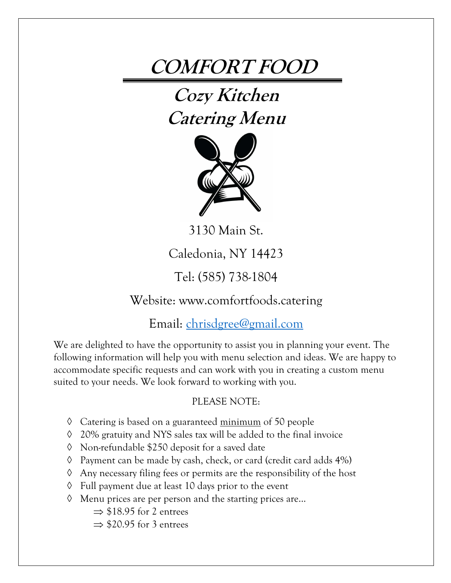## **COMFORT FOOD**

**Cozy Kitchen Catering Menu**



3130 Main St.

### Caledonia, NY 14423

### Tel: (585) 738-1804

#### Website: www.comfortfoods.catering

#### Email: chrisdgree@gmail.com

We are delighted to have the opportunity to assist you in planning your event. The following information will help you with menu selection and ideas. We are happy to accommodate specific requests and can work with you in creating a custom menu suited to your needs. We look forward to working with you.

#### PLEASE NOTE:

- $\Diamond$  Catering is based on a guaranteed minimum of 50 people
- à 20% gratuity and NYS sales tax will be added to the final invoice
- à Non-refundable \$250 deposit for a saved date
- $\Diamond$  Payment can be made by cash, check, or card (credit card adds 4%)
- $\Diamond$  Any necessary filing fees or permits are the responsibility of the host
- $\Diamond$  Full payment due at least 10 days prior to the event
- $\Diamond$  Menu prices are per person and the starting prices are...
	- $\Rightarrow$  \$18.95 for 2 entrees
	- $\Rightarrow$  \$20.95 for 3 entrees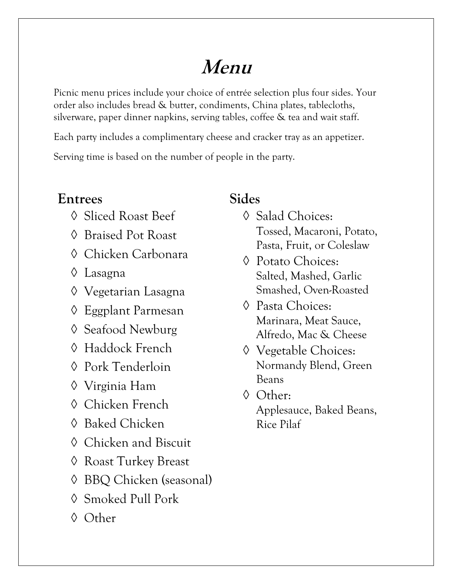# **Menu**

Picnic menu prices include your choice of entrée selection plus four sides. Your order also includes bread & butter, condiments, China plates, tablecloths, silverware, paper dinner napkins, serving tables, coffee & tea and wait staff.

Each party includes a complimentary cheese and cracker tray as an appetizer.

Serving time is based on the number of people in the party.

## **Entrees Sides**

- à Sliced Roast Beef
- à Braised Pot Roast
- à Chicken Carbonara
- à Lasagna
- à Vegetarian Lasagna
- à Eggplant Parmesan
- à Seafood Newburg
- à Haddock French
- à Pork Tenderloin
- à Virginia Ham
- à Chicken French
- à Baked Chicken
- à Chicken and Biscuit
- à Roast Turkey Breast
- à BBQ Chicken (seasonal)
- à Smoked Pull Pork
- à Other

- $\Diamond$  Salad Choices: Tossed, Macaroni, Potato, Pasta, Fruit, or Coleslaw
- à Potato Choices: Salted, Mashed, Garlic Smashed, Oven-Roasted
- à Pasta Choices: Marinara, Meat Sauce, Alfredo, Mac & Cheese
- à Vegetable Choices: Normandy Blend, Green Beans
- à Other: Applesauce, Baked Beans, Rice Pilaf